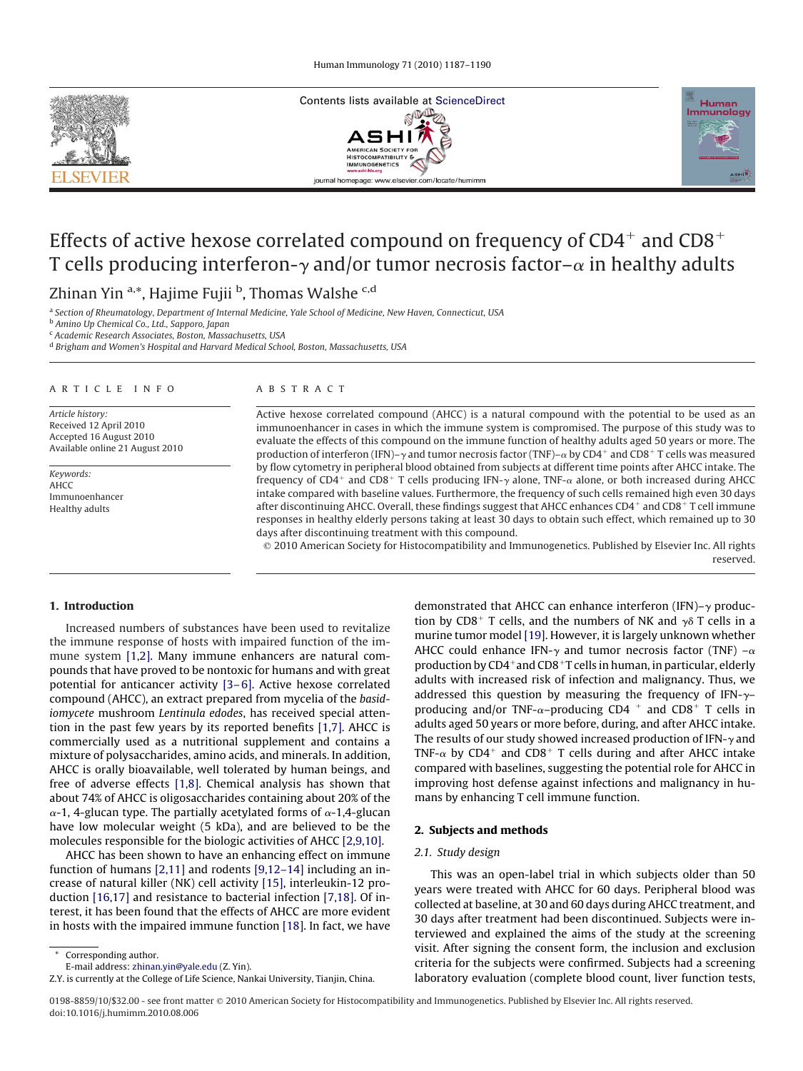





# Effects of active hexose correlated compound on frequency of  $CD4^+$  and  $CD8^+$ T cells producing interferon- $\gamma$  and/or tumor necrosis factor– $\alpha$  in healthy adults

Zhinan Yin <sup>a,\*</sup>, Hajime Fujii <sup>b</sup>, Thomas Walshe <sup>c,d</sup>

<sup>a</sup> *Section of Rheumatology, Department of Internal Medicine, Yale School of Medicine, New Haven, Connecticut, USA*

<sup>b</sup> *Amino Up Chemical Co., Ltd., Sapporo, Japan*

<sup>c</sup> *Academic Research Associates, Boston, Massachusetts, USA*

<sup>d</sup> *Brigham and Women's Hospital and Harvard Medical School, Boston, Massachusetts, USA*

#### ARTICLE INFO

*Article history:* Received 12 April 2010 Accepted 16 August 2010 Available online 21 August 2010

*Keywords:* AHCC Immunoenhancer Healthy adults

#### ABSTRACT

Active hexose correlated compound (AHCC) is a natural compound with the potential to be used as an immunoenhancer in cases in which the immune system is compromised. The purpose of this study was to evaluate the effects of this compound on the immune function of healthy adults aged 50 years or more. The production of interferon (IFN)– $\gamma$  and tumor necrosis factor (TNF)– $\alpha$  by CD4<sup>+</sup> and CD8<sup>+</sup> T cells was measured by flow cytometry in peripheral blood obtained from subjects at different time points after AHCC intake. The frequency of CD4<sup>+</sup> and CD8<sup>+</sup> T cells producing IFN- $\gamma$  alone, TNF- $\alpha$  alone, or both increased during AHCC intake compared with baseline values. Furthermore, the frequency of such cells remained high even 30 days after discontinuing AHCC. Overall, these findings suggest that AHCC enhances  $CD4^+$  and  $CD8^+$  T cell immune responses in healthy elderly persons taking at least 30 days to obtain such effect, which remained up to 30 days after discontinuing treatment with this compound.

 2010 American Society for Histocompatibility and Immunogenetics. Published by Elsevier Inc. All rights reserved.

#### **1. Introduction**

Increased numbers of substances have been used to revitalize the immune response of hosts with impaired function of the immune system [\[1,2\].](#page-3-0) Many immune enhancers are natural compounds that have proved to be nontoxic for humans and with great potential for anticancer activity [\[3– 6\].](#page-3-0) Active hexose correlated compound (AHCC), an extract prepared from mycelia of the *basidiomycete* mushroom *Lentinula edodes*, has received special attention in the past few years by its reported benefits [\[1,7\].](#page-3-0) AHCC is commercially used as a nutritional supplement and contains a mixture of polysaccharides, amino acids, and minerals. In addition, AHCC is orally bioavailable, well tolerated by human beings, and free of adverse effects [\[1,8\].](#page-3-0) Chemical analysis has shown that about 74% of AHCC is oligosaccharides containing about 20% of the  $\alpha$ -1, 4-glucan type. The partially acetylated forms of  $\alpha$ -1,4-glucan have low molecular weight (5 kDa), and are believed to be the molecules responsible for the biologic activities of AHCC [\[2,9,10\].](#page-3-0)

AHCC has been shown to have an enhancing effect on immune function of humans [\[2,11\]](#page-3-0) and rodents [\[9,12–14\]](#page-3-0) including an increase of natural killer (NK) cell activity [\[15\],](#page-3-0) interleukin-12 production [\[16,17\]](#page-3-0) and resistance to bacterial infection [\[7,18\].](#page-3-0) Of interest, it has been found that the effects of AHCC are more evident in hosts with the impaired immune function [\[18\].](#page-3-0) In fact, we have

Corresponding author.

demonstrated that AHCC can enhance interferon (IFN)– $\gamma$  production by CD8<sup>+</sup> T cells, and the numbers of NK and  $\gamma$ <sup> $\delta$ </sup> T cells in a murine tumor model [\[19\].](#page-3-0) However, it is largely unknown whether AHCC could enhance IFN- $\gamma$  and tumor necrosis factor (TNF) – $\alpha$ production by  $CD4^+$  and  $CD8^+$ T cells in human, in particular, elderly adults with increased risk of infection and malignancy. Thus, we addressed this question by measuring the frequency of IFN- $\gamma$ producing and/or TNF- $\alpha$ -producing CD4<sup>+</sup> and CD8<sup>+</sup> T cells in adults aged 50 years or more before, during, and after AHCC intake. The results of our study showed increased production of IFN- $\gamma$  and TNF- $\alpha$  by CD4<sup>+</sup> and CD8<sup>+</sup> T cells during and after AHCC intake compared with baselines, suggesting the potential role for AHCC in improving host defense against infections and malignancy in humans by enhancing T cell immune function.

# **2. Subjects and methods**

## *2.1. Study design*

This was an open-label trial in which subjects older than 50 years were treated with AHCC for 60 days. Peripheral blood was collected at baseline, at 30 and 60 days during AHCC treatment, and 30 days after treatment had been discontinued. Subjects were interviewed and explained the aims of the study at the screening visit. After signing the consent form, the inclusion and exclusion criteria for the subjects were confirmed. Subjects had a screening laboratory evaluation (complete blood count, liver function tests,

E-mail address: [zhinan.yin@yale.edu](mailto:zhinan.yin@yale.edu) (Z. Yin).

Z.Y. is currently at the College of Life Science, Nankai University, Tianjin, China.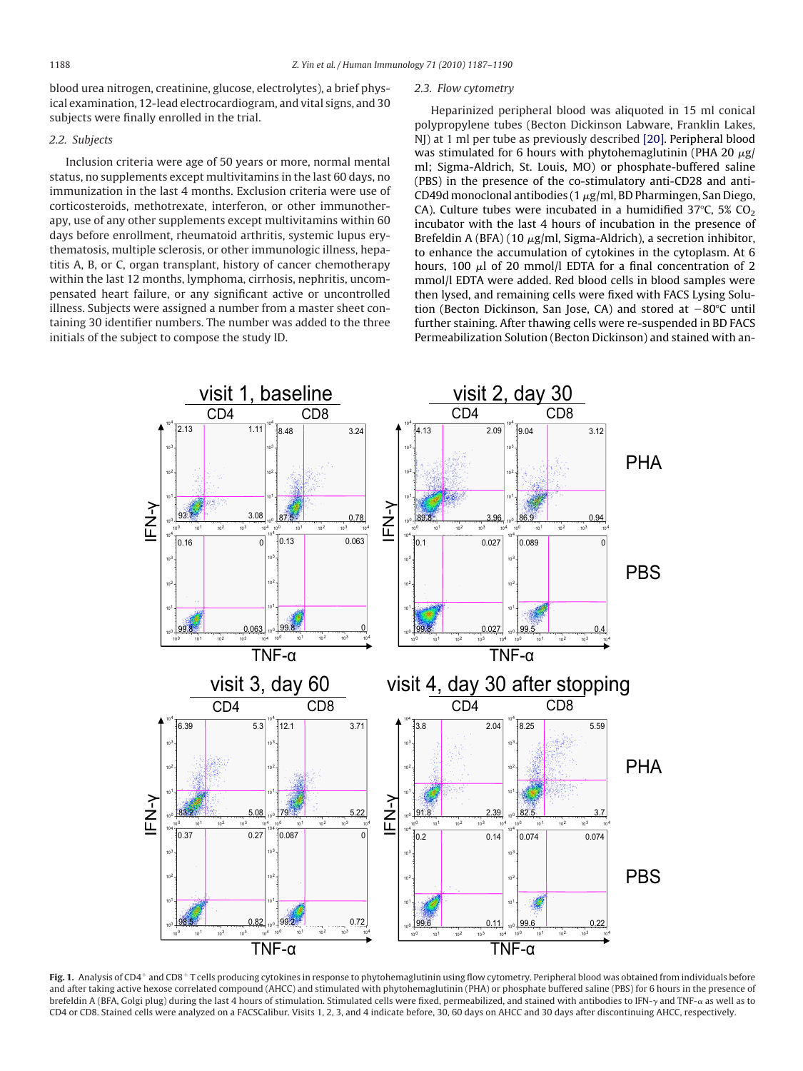<span id="page-1-0"></span>blood urea nitrogen, creatinine, glucose, electrolytes), a brief physical examination, 12-lead electrocardiogram, and vital signs, and 30 subjects were finally enrolled in the trial.

## *2.2. Subjects*

Inclusion criteria were age of 50 years or more, normal mental status, no supplements except multivitamins in the last 60 days, no immunization in the last 4 months. Exclusion criteria were use of corticosteroids, methotrexate, interferon, or other immunotherapy, use of any other supplements except multivitamins within 60 days before enrollment, rheumatoid arthritis, systemic lupus erythematosis, multiple sclerosis, or other immunologic illness, hepatitis A, B, or C, organ transplant, history of cancer chemotherapy within the last 12 months, lymphoma, cirrhosis, nephritis, uncompensated heart failure, or any significant active or uncontrolled illness. Subjects were assigned a number from a master sheet containing 30 identifier numbers. The number was added to the three initials of the subject to compose the study ID.

#### *2.3. Flow cytometry*

Heparinized peripheral blood was aliquoted in 15 ml conical polypropylene tubes (Becton Dickinson Labware, Franklin Lakes, NJ) at 1 ml per tube as previously described [\[20\].](#page-3-0) Peripheral blood was stimulated for 6 hours with phytohemaglutinin (PHA 20  $\mu$ g/ ml; Sigma-Aldrich, St. Louis, MO) or phosphate-buffered saline (PBS) in the presence of the co-stimulatory anti-CD28 and anti-CD49d monoclonal antibodies (1  $\mu$ g/ml, BD Pharmingen, San Diego, CA). Culture tubes were incubated in a humidified 37°C, 5%  $CO<sub>2</sub>$ incubator with the last 4 hours of incubation in the presence of Brefeldin A (BFA) (10  $\mu$ g/ml, Sigma-Aldrich), a secretion inhibitor, to enhance the accumulation of cytokines in the cytoplasm. At 6 hours, 100  $\mu$ l of 20 mmol/l EDTA for a final concentration of 2 mmol/l EDTA were added. Red blood cells in blood samples were then lysed, and remaining cells were fixed with FACS Lysing Solution (Becton Dickinson, San Jose, CA) and stored at  $-80^{\circ}$ C until further staining. After thawing cells were re-suspended in BD FACS Permeabilization Solution (Becton Dickinson) and stained with an-



Fig. 1. Analysis of CD4<sup>+</sup> and CD8<sup>+</sup>T cells producing cytokines in response to phytohemaglutinin using flow cytometry. Peripheral blood was obtained from individuals before and after taking active hexose correlated compound (AHCC) and stimulated with phytohemaglutinin (PHA) or phosphate buffered saline (PBS) for 6 hours in the presence of brefeldin A (BFA, Golgi plug) during the last 4 hours of stimulation. Stimulated cells were fixed, permeabilized, and stained with antibodies to IFN-y and TNF-a as well as to CD4 or CD8. Stained cells were analyzed on a FACSCalibur. Visits 1, 2, 3, and 4 indicate before, 30, 60 days on AHCC and 30 days after discontinuing AHCC, respectively.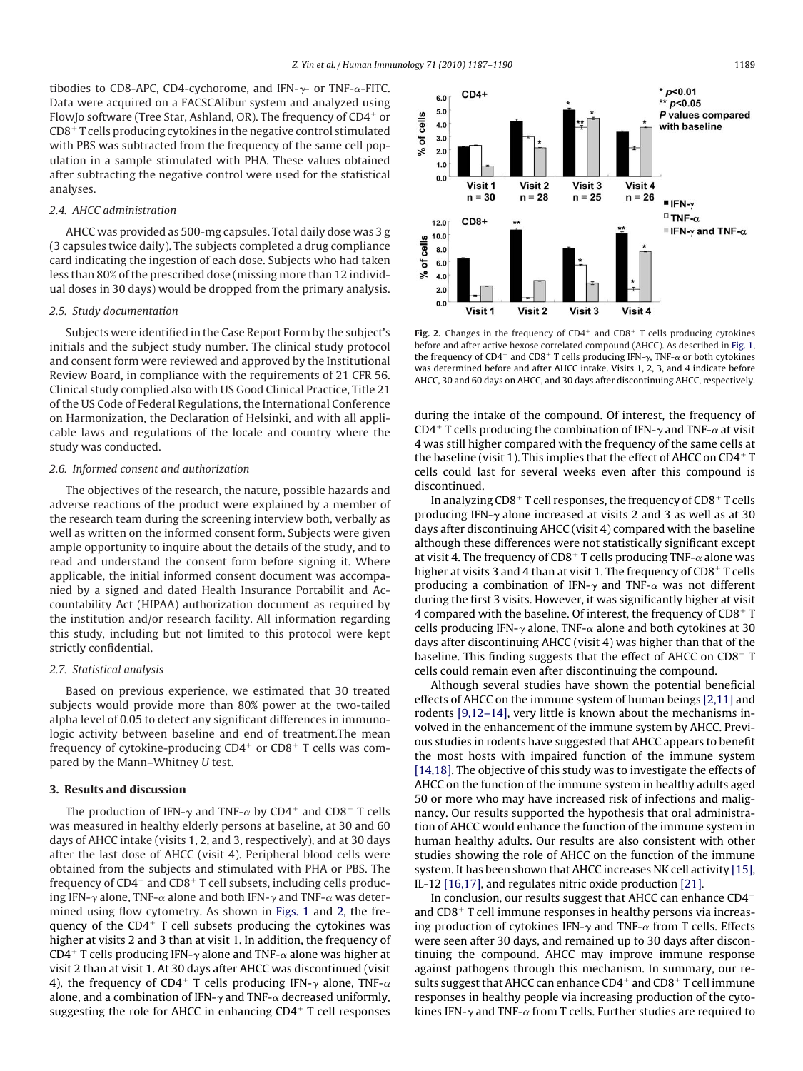tibodies to CD8-APC, CD4-cychorome, and IFN- $\gamma$ - or TNF- $\alpha$ -FITC. Data were acquired on a FACSCAlibur system and analyzed using FlowJo software (Tree Star, Ashland, OR). The frequency of CD4<sup>+</sup> or  $CD8<sup>+</sup>$  T cells producing cytokines in the negative control stimulated with PBS was subtracted from the frequency of the same cell population in a sample stimulated with PHA. These values obtained after subtracting the negative control were used for the statistical analyses.

### *2.4. AHCC administration*

AHCC was provided as 500-mg capsules. Total daily dose was 3 g (3 capsules twice daily). The subjects completed a drug compliance card indicating the ingestion of each dose. Subjects who had taken less than 80% of the prescribed dose (missing more than 12 individual doses in 30 days) would be dropped from the primary analysis.

#### *2.5. Study documentation*

Subjects were identified in the Case Report Form by the subject's initials and the subject study number. The clinical study protocol and consent form were reviewed and approved by the Institutional Review Board, in compliance with the requirements of 21 CFR 56. Clinical study complied also with US Good Clinical Practice, Title 21 of the US Code of Federal Regulations, the International Conference on Harmonization, the Declaration of Helsinki, and with all applicable laws and regulations of the locale and country where the study was conducted.

### *2.6. Informed consent and authorization*

The objectives of the research, the nature, possible hazards and adverse reactions of the product were explained by a member of the research team during the screening interview both, verbally as well as written on the informed consent form. Subjects were given ample opportunity to inquire about the details of the study, and to read and understand the consent form before signing it. Where applicable, the initial informed consent document was accompanied by a signed and dated Health Insurance Portabilit and Accountability Act (HIPAA) authorization document as required by the institution and/or research facility. All information regarding this study, including but not limited to this protocol were kept strictly confidential.

## *2.7. Statistical analysis*

Based on previous experience, we estimated that 30 treated subjects would provide more than 80% power at the two-tailed alpha level of 0.05 to detect any significant differences in immunologic activity between baseline and end of treatment.The mean frequency of cytokine-producing  $CD4^+$  or  $CD8^+$  T cells was compared by the Mann–Whitney *U* test.

#### **3. Results and discussion**

The production of IFN- $\gamma$  and TNF- $\alpha$  by CD4<sup>+</sup> and CD8<sup>+</sup> T cells was measured in healthy elderly persons at baseline, at 30 and 60 days of AHCC intake (visits 1, 2, and 3, respectively), and at 30 days after the last dose of AHCC (visit 4). Peripheral blood cells were obtained from the subjects and stimulated with PHA or PBS. The frequency of  $CD4^+$  and  $CD8^+$  T cell subsets, including cells producing IFN- $\gamma$  alone, TNF- $\alpha$  alone and both IFN- $\gamma$  and TNF- $\alpha$  was determined using flow cytometry. As shown in [Figs. 1](#page-1-0) and 2, the frequency of the  $CD4^+$  T cell subsets producing the cytokines was higher at visits 2 and 3 than at visit 1. In addition, the frequency of CD4<sup>+</sup> T cells producing IFN- $\gamma$  alone and TNF- $\alpha$  alone was higher at visit 2 than at visit 1. At 30 days after AHCC was discontinued (visit 4), the frequency of CD4<sup>+</sup> T cells producing IFN- $\gamma$  alone, TNF- $\alpha$ alone, and a combination of IFN- $\gamma$  and TNF- $\alpha$  decreased uniformly, suggesting the role for AHCC in enhancing  $CD4<sup>+</sup>$  T cell responses



Fig. 2. Changes in the frequency of CD4<sup>+</sup> and CD8<sup>+</sup> T cells producing cytokines before and after active hexose correlated compound (AHCC). As described in [Fig. 1,](#page-1-0) the frequency of CD4<sup>+</sup> and CD8<sup>+</sup> T cells producing IFN- $\gamma$ , TNF- $\alpha$  or both cytokines was determined before and after AHCC intake. Visits 1, 2, 3, and 4 indicate before AHCC, 30 and 60 days on AHCC, and 30 days after discontinuing AHCC, respectively.

during the intake of the compound. Of interest, the frequency of CD4<sup>+</sup> T cells producing the combination of IFN- $\gamma$  and TNF- $\alpha$  at visit 4 was still higher compared with the frequency of the same cells at the baseline (visit 1). This implies that the effect of AHCC on  $CD4^+$  T cells could last for several weeks even after this compound is discontinued.

In analyzing  $CD8<sup>+</sup>$  T cell responses, the frequency of  $CD8<sup>+</sup>$  T cells producing IFN- $\gamma$  alone increased at visits 2 and 3 as well as at 30 days after discontinuing AHCC (visit 4) compared with the baseline although these differences were not statistically significant except at visit 4. The frequency of CD8<sup>+</sup> T cells producing TNF- $\alpha$  alone was higher at visits 3 and 4 than at visit 1. The frequency of  $CD8^+$  T cells producing a combination of IFN- $\gamma$  and TNF- $\alpha$  was not different during the first 3 visits. However, it was significantly higher at visit 4 compared with the baseline. Of interest, the frequency of  $CD8^+$  T cells producing IFN- $\gamma$  alone, TNF- $\alpha$  alone and both cytokines at 30 days after discontinuing AHCC (visit 4) was higher than that of the baseline. This finding suggests that the effect of AHCC on  $CD8<sup>+</sup>$  T cells could remain even after discontinuing the compound.

Although several studies have shown the potential beneficial effects of AHCC on the immune system of human beings [\[2,11\]](#page-3-0) and rodents [\[9,12–14\],](#page-3-0) very little is known about the mechanisms involved in the enhancement of the immune system by AHCC. Previous studies in rodents have suggested that AHCC appears to benefit the most hosts with impaired function of the immune system [\[14,18\].](#page-3-0) The objective of this study was to investigate the effects of AHCC on the function of the immune system in healthy adults aged 50 or more who may have increased risk of infections and malignancy. Our results supported the hypothesis that oral administration of AHCC would enhance the function of the immune system in human healthy adults. Our results are also consistent with other studies showing the role of AHCC on the function of the immune system. It has been shown that AHCC increases NK cell activity [\[15\],](#page-3-0) IL-12 [\[16,17\],](#page-3-0) and regulates nitric oxide production [\[21\].](#page-3-0)

In conclusion, our results suggest that AHCC can enhance CD4 and  $CD8<sup>+</sup>$  T cell immune responses in healthy persons via increasing production of cytokines IFN- $\gamma$  and TNF- $\alpha$  from T cells. Effects were seen after 30 days, and remained up to 30 days after discontinuing the compound. AHCC may improve immune response against pathogens through this mechanism. In summary, our results suggest that AHCC can enhance  $CD4^+$  and  $CD8^+$  T cell immune responses in healthy people via increasing production of the cytokines IFN- $\gamma$  and TNF- $\alpha$  from T cells. Further studies are required to